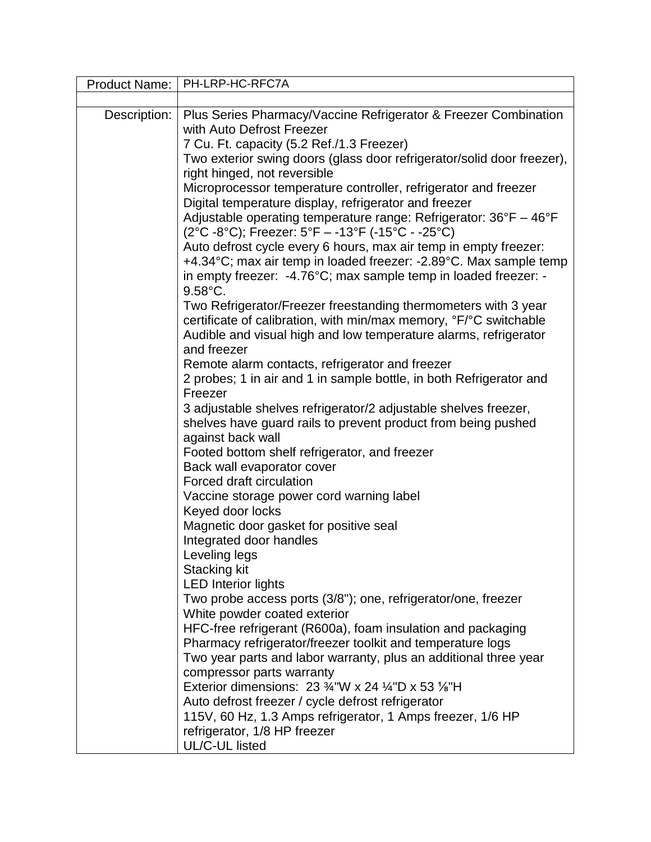| Product Name: | PH-LRP-HC-RFC7A                                                                                                        |
|---------------|------------------------------------------------------------------------------------------------------------------------|
|               |                                                                                                                        |
| Description:  | Plus Series Pharmacy/Vaccine Refrigerator & Freezer Combination                                                        |
|               | with Auto Defrost Freezer                                                                                              |
|               | 7 Cu. Ft. capacity (5.2 Ref./1.3 Freezer)                                                                              |
|               | Two exterior swing doors (glass door refrigerator/solid door freezer),                                                 |
|               | right hinged, not reversible                                                                                           |
|               | Microprocessor temperature controller, refrigerator and freezer                                                        |
|               | Digital temperature display, refrigerator and freezer                                                                  |
|               | Adjustable operating temperature range: Refrigerator: 36°F - 46°F                                                      |
|               | (2°C-8°C); Freezer: 5°F - -13°F (-15°C - -25°C)                                                                        |
|               | Auto defrost cycle every 6 hours, max air temp in empty freezer:                                                       |
|               | +4.34°C; max air temp in loaded freezer: -2.89°C. Max sample temp                                                      |
|               | in empty freezer: -4.76°C; max sample temp in loaded freezer: -                                                        |
|               | $9.58^{\circ}$ C.                                                                                                      |
|               | Two Refrigerator/Freezer freestanding thermometers with 3 year                                                         |
|               | certificate of calibration, with min/max memory, °F/°C switchable                                                      |
|               | Audible and visual high and low temperature alarms, refrigerator<br>and freezer                                        |
|               |                                                                                                                        |
|               | Remote alarm contacts, refrigerator and freezer<br>2 probes; 1 in air and 1 in sample bottle, in both Refrigerator and |
|               | Freezer                                                                                                                |
|               | 3 adjustable shelves refrigerator/2 adjustable shelves freezer,                                                        |
|               | shelves have guard rails to prevent product from being pushed                                                          |
|               | against back wall                                                                                                      |
|               | Footed bottom shelf refrigerator, and freezer                                                                          |
|               | Back wall evaporator cover                                                                                             |
|               | Forced draft circulation                                                                                               |
|               | Vaccine storage power cord warning label                                                                               |
|               | Keyed door locks                                                                                                       |
|               | Magnetic door gasket for positive seal                                                                                 |
|               | Integrated door handles                                                                                                |
|               | Leveling legs                                                                                                          |
|               | <b>Stacking kit</b>                                                                                                    |
|               | <b>LED</b> Interior lights                                                                                             |
|               | Two probe access ports (3/8"); one, refrigerator/one, freezer                                                          |
|               | White powder coated exterior                                                                                           |
|               | HFC-free refrigerant (R600a), foam insulation and packaging                                                            |
|               | Pharmacy refrigerator/freezer toolkit and temperature logs                                                             |
|               | Two year parts and labor warranty, plus an additional three year                                                       |
|               | compressor parts warranty                                                                                              |
|               | Exterior dimensions: 23 $\frac{3}{4}$ "W x 24 $\frac{1}{4}$ "D x 53 $\frac{1}{8}$ "H                                   |
|               | Auto defrost freezer / cycle defrost refrigerator                                                                      |
|               | 115V, 60 Hz, 1.3 Amps refrigerator, 1 Amps freezer, 1/6 HP                                                             |
|               | refrigerator, 1/8 HP freezer                                                                                           |
|               | UL/C-UL listed                                                                                                         |